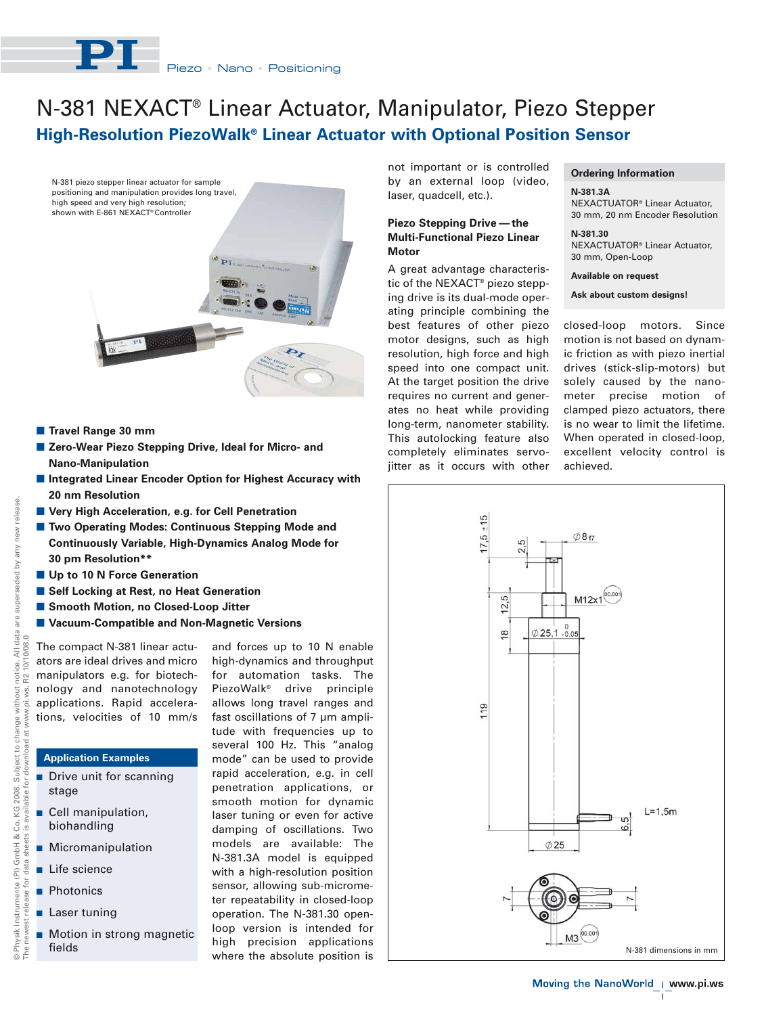

# **High-Resolution PiezoWalk® Linear Actuator with Optional Position Sensor** N-381 NEXACT® Linear Actuator, Manipulator, Piezo Stepper





- Travel Range 30 mm
- Zero-Wear Piezo Stepping Drive, Ideal for Micro- and **Nano-Manipulation**
- **E** Integrated Linear Encoder Option for Highest Accuracy with **20 nm Resolution**
- **E** Very High Acceleration, e.g. for Cell Penetration
- **E** Two Operating Modes: Continuous Stepping Mode and **Continuously Variable, High-Dynamics Analog Mode for 30 pm Resolution\*\***
- **Up to 10 N Force Generation**
- Self Locking at Rest, no Heat Generation
- Smooth Motion, no Closed-Loop Jitter
- Vacuum-Compatible and Non-Magnetic Versions

The compact N-381 linear actuators are ideal drives and micro manipulators e.g. for biotechnology and nanotechnology applications. Rapid accelerations, velocities of 10 mm/s

# **Application Examples**

- **Drive unit for scanning** stage
- - Cell manipulation, biohandling
- **Micromanipulation**
- Life science
- Photonics
- **Laser tuning**
- Motion in strong magnetic

and forces up to 10 N enable high-dynamics and throughput for automation tasks. The PiezoWalk® drive principle allows long travel ranges and fast oscillations of 7 μm amplitude with frequencies up to several 100 Hz. This "analog mode" can be used to provide rapid acceleration, e.g. in cell penetration applications, or smooth motion for dynamic laser tuning or even for active damping of oscillations. Two models are available: The N-381.3A model is equipped with a high-resolution position sensor, allowing sub-micrometer repeatability in closed-loop operation. The N-381.30 openloop version is intended for where the absolute position is

not important or is controlled by an external loop (video, laser, quadcell, etc.).

## **Piezo Stepping Drive — the Multi-Functional Piezo Linear Motor**

A great advantage characteristic of the NEXACT® piezo stepping drive is its dual-mode operating principle combining the best features of other piezo motor designs, such as high resolution, high force and high speed into one compact unit. At the target position the drive requires no current and generates no heat while providing long-term, nanometer stability. This autolocking feature also completely eliminates servojitter as it occurs with other

## **Ordering Information**

**N-381.3A** NEXACTUATOR® Linear Actuator, 30 mm, 20 nm Encoder Resolution

**N-381.30** NEXACTUATOR® Linear Actuator, 30 mm, Open-Loop

**Available on request**

**Ask about custom designs!**

closed-loop motors. Since motion is not based on dynamic friction as with piezo inertial drives (stick-slip-motors) but solely caused by the nanometer precise motion of clamped piezo actuators, there is no wear to limit the lifetime. When operated in closed-loop, excellent velocity control is achieved.



 $\mathbf{I}$ 

e Ph<br>The i